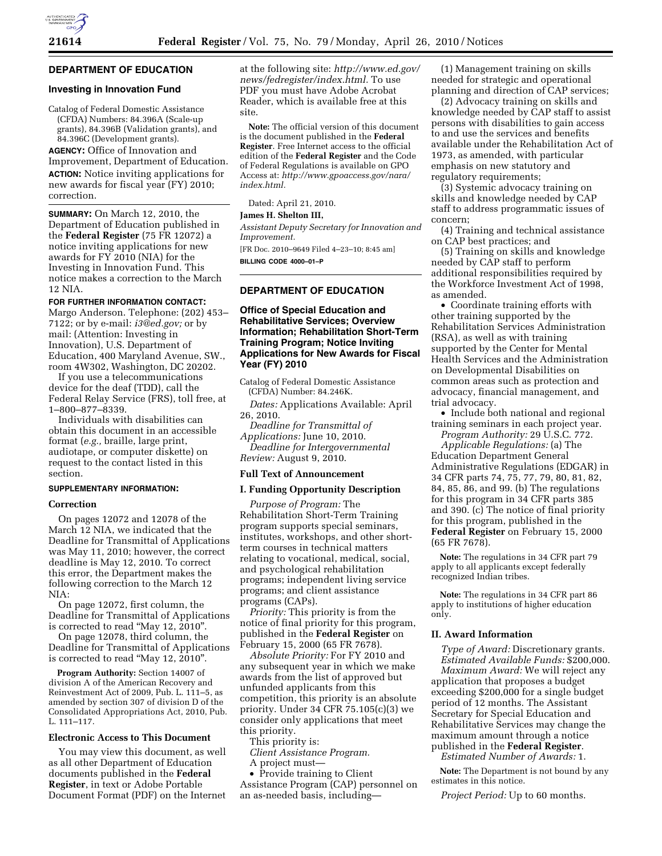# **DEPARTMENT OF EDUCATION**

#### **Investing in Innovation Fund**

Catalog of Federal Domestic Assistance (CFDA) Numbers: 84.396A (Scale-up grants), 84.396B (Validation grants), and 84.396C (Development grants). **AGENCY:** Office of Innovation and Improvement, Department of Education. **ACTION:** Notice inviting applications for new awards for fiscal year (FY) 2010;

# correction.

**SUMMARY:** On March 12, 2010, the Department of Education published in the **Federal Register** (75 FR 12072) a notice inviting applications for new awards for FY 2010 (NIA) for the Investing in Innovation Fund. This notice makes a correction to the March 12 NIA.

#### **FOR FURTHER INFORMATION CONTACT:**

Margo Anderson. Telephone: (202) 453– 7122; or by e-mail: *i3@ed.gov;* or by mail: (Attention: Investing in Innovation), U.S. Department of Education, 400 Maryland Avenue, SW., room 4W302, Washington, DC 20202.

If you use a telecommunications device for the deaf (TDD), call the Federal Relay Service (FRS), toll free, at 1–800–877–8339.

Individuals with disabilities can obtain this document in an accessible format (*e.g.,* braille, large print, audiotape, or computer diskette) on request to the contact listed in this section.

## **SUPPLEMENTARY INFORMATION:**

#### **Correction**

On pages 12072 and 12078 of the March 12 NIA, we indicated that the Deadline for Transmittal of Applications was May 11, 2010; however, the correct deadline is May 12, 2010. To correct this error, the Department makes the following correction to the March 12 NIA:

On page 12072, first column, the Deadline for Transmittal of Applications is corrected to read ''May 12, 2010''.

On page 12078, third column, the Deadline for Transmittal of Applications is corrected to read ''May 12, 2010''.

**Program Authority:** Section 14007 of division A of the American Recovery and Reinvestment Act of 2009, Pub. L. 111–5, as amended by section 307 of division D of the Consolidated Appropriations Act, 2010, Pub. L. 111–117.

## **Electronic Access to This Document**

You may view this document, as well as all other Department of Education documents published in the **Federal Register**, in text or Adobe Portable Document Format (PDF) on the Internet at the following site: *http://www.ed.gov/ news/fedregister/index.html.* To use PDF you must have Adobe Acrobat Reader, which is available free at this site.

**Note:** The official version of this document is the document published in the **Federal Register**. Free Internet access to the official edition of the **Federal Register** and the Code of Federal Regulations is available on GPO Access at: *http://www.gpoaccess.gov/nara/ index.html.* 

Dated: April 21, 2010.

#### **James H. Shelton III,**

*Assistant Deputy Secretary for Innovation and Improvement.* 

[FR Doc. 2010–9649 Filed 4–23–10; 8:45 am] **BILLING CODE 4000–01–P** 

## **DEPARTMENT OF EDUCATION**

## **Office of Special Education and Rehabilitative Services; Overview Information; Rehabilitation Short-Term Training Program; Notice Inviting Applications for New Awards for Fiscal Year (FY) 2010**

Catalog of Federal Domestic Assistance (CFDA) Number: 84.246K.

*Dates:* Applications Available: April 26, 2010.

*Deadline for Transmittal of Applications:* June 10, 2010. *Deadline for Intergovernmental* 

*Review:* August 9, 2010.

# **Full Text of Announcement**

#### **I. Funding Opportunity Description**

*Purpose of Program:* The Rehabilitation Short-Term Training program supports special seminars, institutes, workshops, and other shortterm courses in technical matters relating to vocational, medical, social, and psychological rehabilitation programs; independent living service programs; and client assistance programs (CAPs).

*Priority:* This priority is from the notice of final priority for this program, published in the **Federal Register** on February 15, 2000 (65 FR 7678).

*Absolute Priority:* For FY 2010 and any subsequent year in which we make awards from the list of approved but unfunded applicants from this competition, this priority is an absolute priority. Under 34 CFR 75.105(c)(3) we consider only applications that meet this priority.

This priority is: *Client Assistance Program.*  A project must—

• Provide training to Client Assistance Program (CAP) personnel on an as-needed basis, including—

(1) Management training on skills needed for strategic and operational planning and direction of CAP services;

(2) Advocacy training on skills and knowledge needed by CAP staff to assist persons with disabilities to gain access to and use the services and benefits available under the Rehabilitation Act of 1973, as amended, with particular emphasis on new statutory and regulatory requirements;

(3) Systemic advocacy training on skills and knowledge needed by CAP staff to address programmatic issues of concern;

(4) Training and technical assistance on CAP best practices; and

(5) Training on skills and knowledge needed by CAP staff to perform additional responsibilities required by the Workforce Investment Act of 1998, as amended.

• Coordinate training efforts with other training supported by the Rehabilitation Services Administration (RSA), as well as with training supported by the Center for Mental Health Services and the Administration on Developmental Disabilities on common areas such as protection and advocacy, financial management, and trial advocacy.

• Include both national and regional training seminars in each project year. *Program Authority:* 29 U.S.C. 772.

*Applicable Regulations:* (a) The Education Department General Administrative Regulations (EDGAR) in 34 CFR parts 74, 75, 77, 79, 80, 81, 82, 84, 85, 86, and 99. (b) The regulations for this program in 34 CFR parts 385 and 390. (c) The notice of final priority for this program, published in the **Federal Register** on February 15, 2000 (65 FR 7678).

**Note:** The regulations in 34 CFR part 79 apply to all applicants except federally recognized Indian tribes.

**Note:** The regulations in 34 CFR part 86 apply to institutions of higher education only.

## **II. Award Information**

*Type of Award:* Discretionary grants. *Estimated Available Funds:* \$200,000. *Maximum Award:* We will reject any application that proposes a budget exceeding \$200,000 for a single budget period of 12 months. The Assistant Secretary for Special Education and Rehabilitative Services may change the maximum amount through a notice published in the **Federal Register**. *Estimated Number of Awards:* 1.

**Note:** The Department is not bound by any estimates in this notice.

*Project Period:* Up to 60 months.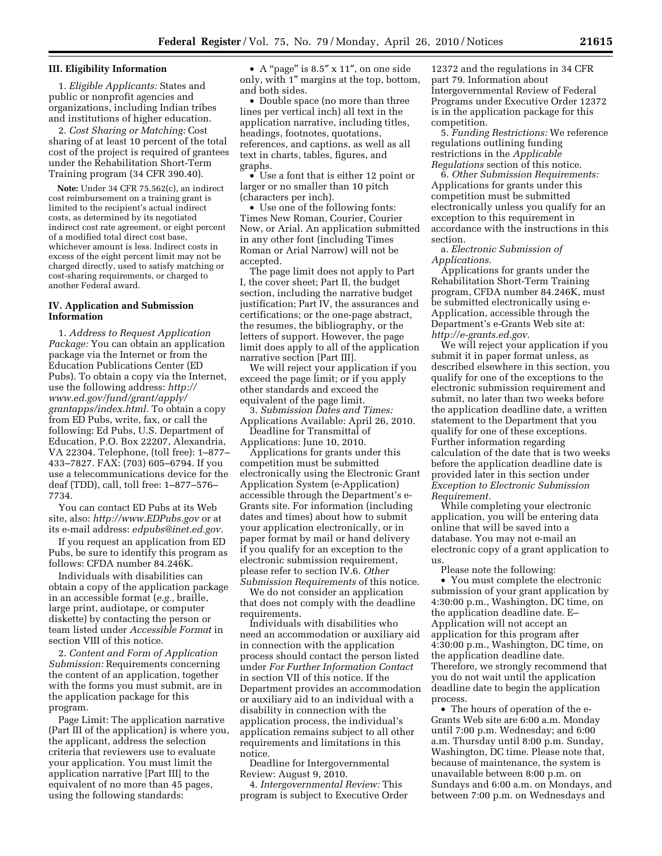#### **III. Eligibility Information**

1. *Eligible Applicants:* States and public or nonprofit agencies and organizations, including Indian tribes and institutions of higher education.

2. *Cost Sharing or Matching:* Cost sharing of at least 10 percent of the total cost of the project is required of grantees under the Rehabilitation Short-Term Training program (34 CFR 390.40).

**Note:** Under 34 CFR 75.562(c), an indirect cost reimbursement on a training grant is limited to the recipient's actual indirect costs, as determined by its negotiated indirect cost rate agreement, or eight percent of a modified total direct cost base, whichever amount is less. Indirect costs in excess of the eight percent limit may not be charged directly, used to satisfy matching or cost-sharing requirements, or charged to another Federal award.

## **IV. Application and Submission Information**

1. *Address to Request Application Package:* You can obtain an application package via the Internet or from the Education Publications Center (ED Pubs). To obtain a copy via the Internet, use the following address: *http:// www.ed.gov/fund/grant/apply/ grantapps/index.html.* To obtain a copy from ED Pubs, write, fax, or call the following: Ed Pubs, U.S. Department of Education, P.O. Box 22207, Alexandria, VA 22304. Telephone, (toll free): 1–877– 433–7827. FAX: (703) 605–6794. If you use a telecommunications device for the deaf (TDD), call, toll free: 1–877–576– 7734.

You can contact ED Pubs at its Web site, also: *http://www.EDPubs.gov* or at its e-mail address: *edpubs@inet.ed.gov.* 

If you request an application from ED Pubs, be sure to identify this program as follows: CFDA number 84.246K.

Individuals with disabilities can obtain a copy of the application package in an accessible format (*e.g.,* braille, large print, audiotape, or computer diskette) by contacting the person or team listed under *Accessible Format* in section VIII of this notice.

2. *Content and Form of Application Submission:* Requirements concerning the content of an application, together with the forms you must submit, are in the application package for this program.

Page Limit: The application narrative (Part III of the application) is where you, the applicant, address the selection criteria that reviewers use to evaluate your application. You must limit the application narrative [Part III] to the equivalent of no more than 45 pages, using the following standards:

• A "page" is 8.5" x 11", on one side only, with 1'' margins at the top, bottom, and both sides.

• Double space (no more than three lines per vertical inch) all text in the application narrative, including titles, headings, footnotes, quotations, references, and captions, as well as all text in charts, tables, figures, and graphs.

• Use a font that is either 12 point or larger or no smaller than 10 pitch (characters per inch).

• Use one of the following fonts: Times New Roman, Courier, Courier New, or Arial. An application submitted in any other font (including Times Roman or Arial Narrow) will not be accepted.

The page limit does not apply to Part I, the cover sheet; Part II, the budget section, including the narrative budget justification; Part IV, the assurances and certifications; or the one-page abstract, the resumes, the bibliography, or the letters of support. However, the page limit does apply to all of the application narrative section [Part III].

We will reject your application if you exceed the page limit; or if you apply other standards and exceed the equivalent of the page limit.

3. *Submission Dates and Times:*  Applications Available: April 26, 2010. Deadline for Transmittal of

Applications: June 10, 2010. Applications for grants under this

competition must be submitted electronically using the Electronic Grant Application System (e-Application) accessible through the Department's e-Grants site. For information (including dates and times) about how to submit your application electronically, or in paper format by mail or hand delivery if you qualify for an exception to the electronic submission requirement, please refer to section IV.6. *Other Submission Requirements* of this notice.

We do not consider an application that does not comply with the deadline requirements.

Individuals with disabilities who need an accommodation or auxiliary aid in connection with the application process should contact the person listed under *For Further Information Contact*  in section VII of this notice. If the Department provides an accommodation or auxiliary aid to an individual with a disability in connection with the application process, the individual's application remains subject to all other requirements and limitations in this notice.

Deadline for Intergovernmental Review: August 9, 2010.

4. *Intergovernmental Review:* This program is subject to Executive Order

12372 and the regulations in 34 CFR part 79. Information about Intergovernmental Review of Federal Programs under Executive Order 12372 is in the application package for this competition.

5. *Funding Restrictions:* We reference regulations outlining funding restrictions in the *Applicable Regulations* section of this notice.

6. *Other Submission Requirements:*  Applications for grants under this competition must be submitted electronically unless you qualify for an exception to this requirement in accordance with the instructions in this section.

a. *Electronic Submission of Applications.* 

Applications for grants under the Rehabilitation Short-Term Training program, CFDA number 84.246K, must be submitted electronically using e-Application, accessible through the Department's e-Grants Web site at: *http://e-grants.ed.gov.* 

We will reject your application if you submit it in paper format unless, as described elsewhere in this section, you qualify for one of the exceptions to the electronic submission requirement and submit, no later than two weeks before the application deadline date, a written statement to the Department that you qualify for one of these exceptions. Further information regarding calculation of the date that is two weeks before the application deadline date is provided later in this section under *Exception to Electronic Submission Requirement.* 

While completing your electronic application, you will be entering data online that will be saved into a database. You may not e-mail an electronic copy of a grant application to us.

Please note the following:

• You must complete the electronic submission of your grant application by 4:30:00 p.m., Washington, DC time, on the application deadline date. E– Application will not accept an application for this program after 4:30:00 p.m., Washington, DC time, on the application deadline date. Therefore, we strongly recommend that you do not wait until the application deadline date to begin the application process.

• The hours of operation of the e-Grants Web site are 6:00 a.m. Monday until 7:00 p.m. Wednesday; and 6:00 a.m. Thursday until 8:00 p.m. Sunday, Washington, DC time. Please note that, because of maintenance, the system is unavailable between 8:00 p.m. on Sundays and 6:00 a.m. on Mondays, and between 7:00 p.m. on Wednesdays and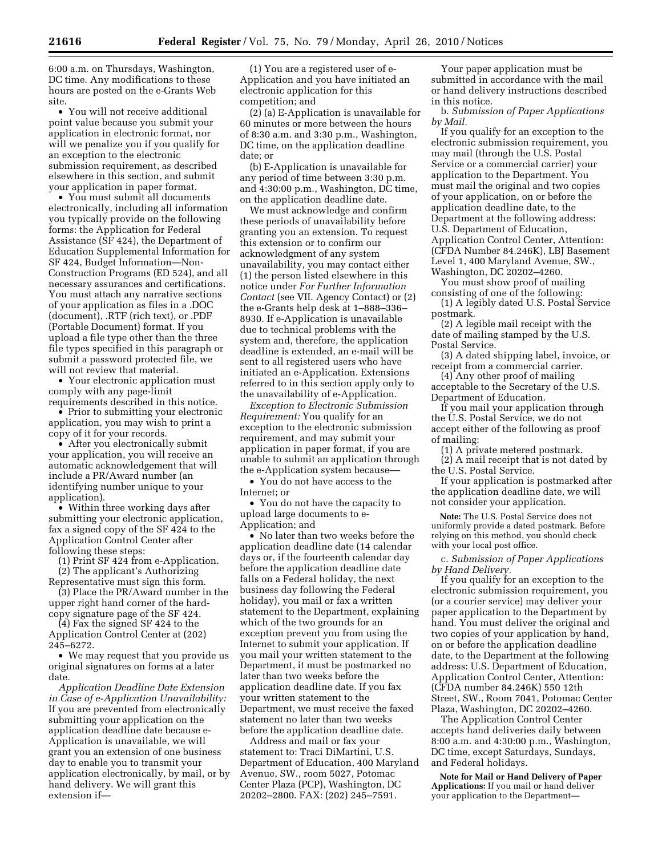6:00 a.m. on Thursdays, Washington, DC time. Any modifications to these hours are posted on the e-Grants Web site.

• You will not receive additional point value because you submit your application in electronic format, nor will we penalize you if you qualify for an exception to the electronic submission requirement, as described elsewhere in this section, and submit your application in paper format.

• You must submit all documents electronically, including all information you typically provide on the following forms: the Application for Federal Assistance (SF 424), the Department of Education Supplemental Information for SF 424, Budget Information—Non-Construction Programs (ED 524), and all necessary assurances and certifications. You must attach any narrative sections of your application as files in a .DOC (document), .RTF (rich text), or .PDF (Portable Document) format. If you upload a file type other than the three file types specified in this paragraph or submit a password protected file, we will not review that material.

• Your electronic application must comply with any page-limit requirements described in this notice.

• Prior to submitting your electronic application, you may wish to print a copy of it for your records.

• After you electronically submit your application, you will receive an automatic acknowledgement that will include a PR/Award number (an identifying number unique to your application).

• Within three working days after submitting your electronic application, fax a signed copy of the SF 424 to the Application Control Center after following these steps:

(1) Print SF 424 from e-Application. (2) The applicant's Authorizing

Representative must sign this form.

(3) Place the PR/Award number in the upper right hand corner of the hardcopy signature page of the SF 424.

(4) Fax the signed SF 424 to the Application Control Center at (202) 245–6272.

• We may request that you provide us original signatures on forms at a later date.

*Application Deadline Date Extension in Case of e-Application Unavailability:*  If you are prevented from electronically submitting your application on the application deadline date because e-Application is unavailable, we will grant you an extension of one business day to enable you to transmit your application electronically, by mail, or by hand delivery. We will grant this extension if—

(1) You are a registered user of e-Application and you have initiated an electronic application for this competition; and

(2) (a) E-Application is unavailable for 60 minutes or more between the hours of 8:30 a.m. and 3:30 p.m., Washington, DC time, on the application deadline date; or

(b) E-Application is unavailable for any period of time between 3:30 p.m. and 4:30:00 p.m., Washington, DC time, on the application deadline date.

We must acknowledge and confirm these periods of unavailability before granting you an extension. To request this extension or to confirm our acknowledgment of any system unavailability, you may contact either (1) the person listed elsewhere in this notice under *For Further Information Contact* (see VII. Agency Contact) or (2) the e-Grants help desk at 1–888–336– 8930. If e-Application is unavailable due to technical problems with the system and, therefore, the application deadline is extended, an e-mail will be sent to all registered users who have initiated an e-Application. Extensions referred to in this section apply only to the unavailability of e-Application.

*Exception to Electronic Submission Requirement:* You qualify for an exception to the electronic submission requirement, and may submit your application in paper format, if you are unable to submit an application through the e-Application system because––

• You do not have access to the Internet; or

• You do not have the capacity to upload large documents to e-Application; and

• No later than two weeks before the application deadline date (14 calendar days or, if the fourteenth calendar day before the application deadline date falls on a Federal holiday, the next business day following the Federal holiday), you mail or fax a written statement to the Department, explaining which of the two grounds for an exception prevent you from using the Internet to submit your application. If you mail your written statement to the Department, it must be postmarked no later than two weeks before the application deadline date. If you fax your written statement to the Department, we must receive the faxed statement no later than two weeks before the application deadline date.

Address and mail or fax your statement to: Traci DiMartini, U.S. Department of Education, 400 Maryland Avenue, SW., room 5027, Potomac Center Plaza (PCP), Washington, DC 20202–2800. FAX: (202) 245–7591.

Your paper application must be submitted in accordance with the mail or hand delivery instructions described in this notice.

b. *Submission of Paper Applications by Mail.* 

If you qualify for an exception to the electronic submission requirement, you may mail (through the U.S. Postal Service or a commercial carrier) your application to the Department. You must mail the original and two copies of your application, on or before the application deadline date, to the Department at the following address: U.S. Department of Education, Application Control Center, Attention: (CFDA Number 84.246K), LBJ Basement Level 1, 400 Maryland Avenue, SW., Washington, DC 20202–4260.

You must show proof of mailing consisting of one of the following:

(1) A legibly dated U.S. Postal Service postmark.

(2) A legible mail receipt with the date of mailing stamped by the U.S. Postal Service.

(3) A dated shipping label, invoice, or receipt from a commercial carrier.

(4) Any other proof of mailing acceptable to the Secretary of the U.S.

Department of Education. If you mail your application through the U.S. Postal Service, we do not

accept either of the following as proof of mailing:

(1) A private metered postmark. (2) A mail receipt that is not dated by the U.S. Postal Service.

If your application is postmarked after the application deadline date, we will not consider your application.

**Note:** The U.S. Postal Service does not uniformly provide a dated postmark. Before relying on this method, you should check with your local post office.

c. *Submission of Paper Applications by Hand Delivery.* 

If you qualify for an exception to the electronic submission requirement, you (or a courier service) may deliver your paper application to the Department by hand. You must deliver the original and two copies of your application by hand, on or before the application deadline date, to the Department at the following address: U.S. Department of Education, Application Control Center, Attention: (CFDA number 84.246K) 550 12th Street, SW., Room 7041, Potomac Center Plaza, Washington, DC 20202–4260.

The Application Control Center accepts hand deliveries daily between 8:00 a.m. and 4:30:00 p.m., Washington, DC time, except Saturdays, Sundays, and Federal holidays.

**Note for Mail or Hand Delivery of Paper Applications:** If you mail or hand deliver your application to the Department—